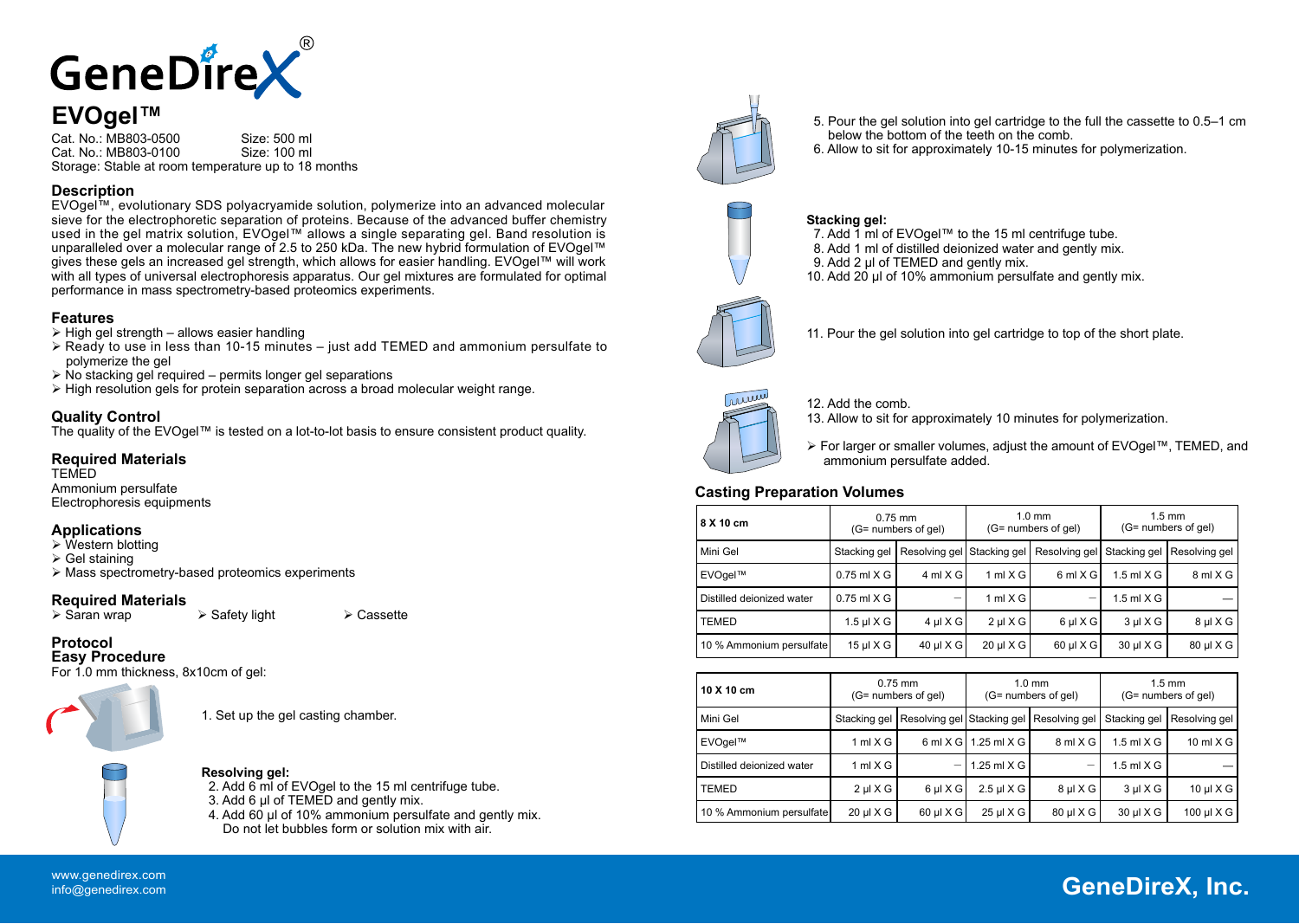

Cat. No.: MB803-0500 Size: 500 ml<br>Cat. No.: MB803-0100 Size: 100 ml Cat. No.: MB803-0100 Storage: Stable at room temperature up to 18 months

# **Description**

EVOgel™, evolutionary SDS polyacryamide solution, polymerize into an advanced molecular sieve for the electrophoretic separation of proteins. Because of the advanced buffer chemistry used in the gel matrix solution, EVOgel™ allows a single separating gel. Band resolution is unparalleled over a molecular range of 2.5 to 250 kDa. The new hybrid formulation of EVOgel™ gives these gels an increased gel strength, which allows for easier handling. EVOgel™ will work with all types of universal electrophoresis apparatus. Our gel mixtures are formulated for optimal performance in mass spectrometry-based proteomics experiments.

# **Features**

- $\triangleright$  High gel strength allows easier handling
- $\triangleright$  Ready to use in less than 10-15 minutes just add TEMED and ammonium persulfate to polymerize the gel
- $\triangleright$  No stacking gel required permits longer gel separations
- $\triangleright$  High resolution gels for protein separation across a broad molecular weight range.

# **Quality Control**

The quality of the EVOgel™ is tested on a lot-to-lot basis to ensure consistent product quality.

### **Required Materials**

**TEMED** Ammonium persulfate Electrophoresis equipments

# **Applications**

- $\triangleright$  Western blotting
- $\triangleright$  Gel staining
- Mass spectrometry-based proteomics experiments

# **Required Materials**

 $\triangleright$  Safety light  $\triangleright$  Cassette

#### **Protocol Easy Procedure**

For 1.0 mm thickness, 8x10cm of gel:



1. Set up the gel casting chamber.



### **Resolving gel:**

2. Add 6 ml of EVOgel to the 15 ml centrifuge tube. 3. Add 6 μl of TEMED and gently mix. 4. Add 60 μl of 10% ammonium persulfate and gently mix. Do not let bubbles form or solution mix with air.



- 5. Pour the gel solution into gel cartridge to the full the cassette to 0.5–1 cm below the bottom of the teeth on the comb.
- 6. Allow to sit for approximately 10-15 minutes for polymerization.



### **Stacking gel:**

7. Add 1 ml of EVOgel™ to the 15 ml centrifuge tube. 8. Add 1 ml of distilled deionized water and gently mix. 9. Add 2 μl of TEMED and gently mix. 10. Add 20 μl of 10% ammonium persulfate and gently mix.



11. Pour the gel solution into gel cartridge to top of the short plate.



12. Add the comb. 13. Allow to sit for approximately 10 minutes for polymerization.

 For larger or smaller volumes, adjust the amount of EVOgel™, TEMED, and ammonium persulfate added.

### **Casting Preparation Volumes**

| 8 X 10 cm                 |                 | $0.75$ mm<br>(G= numbers of gel) |                    | $1.0 \text{ mm}$<br>(G= numbers of gel) |              | $1.5 \text{ mm}$<br>(G= numbers of gel) |
|---------------------------|-----------------|----------------------------------|--------------------|-----------------------------------------|--------------|-----------------------------------------|
| Mini Gel                  | Stacking gel    | Resolving gel Stacking gel       |                    | Resolving gel Stacking gel              |              | Resolving gel                           |
| EVOgel™                   | $0.75$ ml $X$ G | $4 \text{ ml} X G$               | $1 \text{ ml} X G$ | $6$ ml $X$ G                            | 1.5 ml $X$ G | 8 ml X G                                |
| Distilled deionized water | $0.75$ ml $X$ G | $\overline{\phantom{a}}$         | $1 \text{ ml} X G$ |                                         | 1.5 ml $X$ G |                                         |
| <b>TEMED</b>              | 1.5 $\mu$ I X G | $4 \mu$ X G                      | $2 \mu$ X G        | $6 \mu$ X G                             | $3 \mu$ X G  | $8 \mu$ IXG                             |
| 10 % Ammonium persulfate  | $15 \mu$ IXG    | $40 \mu$ X G                     | $20 \mu$ IXG       | $60 \mu$ IXG                            | 30 µ X G     | 80 µl X G                               |

| 10 X 10 cm                |              | $0.75$ mm<br>(G= numbers of gel)         |                        | $1.0 \text{ mm}$<br>(G= numbers of gel) |              | $1.5 \text{ mm}$<br>(G= numbers of gel) |
|---------------------------|--------------|------------------------------------------|------------------------|-----------------------------------------|--------------|-----------------------------------------|
| Mini Gel                  | Stacking gel | Resolving gel Stacking gel Resolving gel |                        |                                         | Stacking gel | Resolving gel                           |
| EVOgel™                   | 1 ml $X$ G   |                                          | 6 ml X G   1.25 ml X G | 8 ml X G                                | 1.5 ml $X$ G | 10 ml $X$ G                             |
| Distilled deionized water | 1 ml $X$ G   |                                          | 1.25 ml $X$ G          | -                                       | 1.5 ml $X$ G |                                         |
| <b>TEMED</b>              | $2 \mu$ X G  | $6 \mu$ X G                              | $2.5$ µl $X$ G         | $8 \mu$ X G                             | $3 \mu$ X G  | 10 $\mu$ I X G                          |
| 10 % Ammonium persulfate  | $20 \mu$ IXG | $60 \mu$ IXG                             | $25 \mu$ IXG           | 80 µ X G                                | 30 µ X G     | 100 µ $X$ G                             |

# **GeneDireX, Inc.** www.genedirex.com